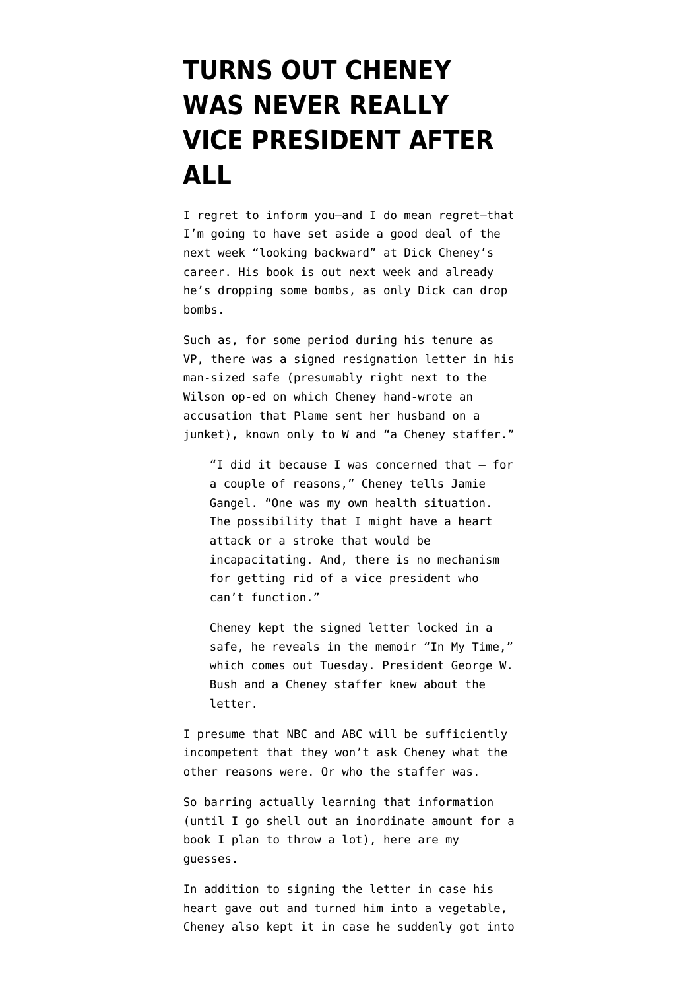## **[TURNS OUT CHENEY](https://www.emptywheel.net/2011/08/24/turns-out-cheney-was-never-really-vice-president-after-all/) [WAS NEVER REALLY](https://www.emptywheel.net/2011/08/24/turns-out-cheney-was-never-really-vice-president-after-all/) [VICE PRESIDENT AFTER](https://www.emptywheel.net/2011/08/24/turns-out-cheney-was-never-really-vice-president-after-all/) [ALL](https://www.emptywheel.net/2011/08/24/turns-out-cheney-was-never-really-vice-president-after-all/)**

I regret to inform you–and I do mean regret–that I'm going to have set aside a good deal of the next week "looking backward" at Dick Cheney's career. His book is out next week and already he's dropping some bombs, as only Dick can drop bombs.

Such as, for some period during his tenure as VP, there was a [signed resignation letter](http://blogs.orlandosentinel.com/entertainment_tv_tvblog/2011/08/dick-cheney-tells-nbc-my-letter-of-resignation-was-ready-if-needed.html) in his man-sized safe (presumably right next to the Wilson op-ed on which Cheney hand-wrote an accusation that Plame sent her husband on a junket), known only to W and "a Cheney staffer."

"I did it because I was concerned that — for a couple of reasons," Cheney tells Jamie Gangel. "One was my own health situation. The possibility that I might have a heart attack or a stroke that would be incapacitating. And, there is no mechanism for getting rid of a vice president who can't function."

Cheney kept the signed letter locked in a safe, he reveals in the memoir "In My Time," which comes out Tuesday. President George W. Bush and a Cheney staffer knew about the letter.

I presume that NBC and ABC will be sufficiently incompetent that they won't ask Cheney what the other reasons were. Or who the staffer was.

So barring actually learning that information (until I go shell out an inordinate amount for a book I plan to throw a lot), here are my guesses.

In addition to signing the letter in case his heart gave out and turned him into a vegetable, Cheney also kept it in case he suddenly got into